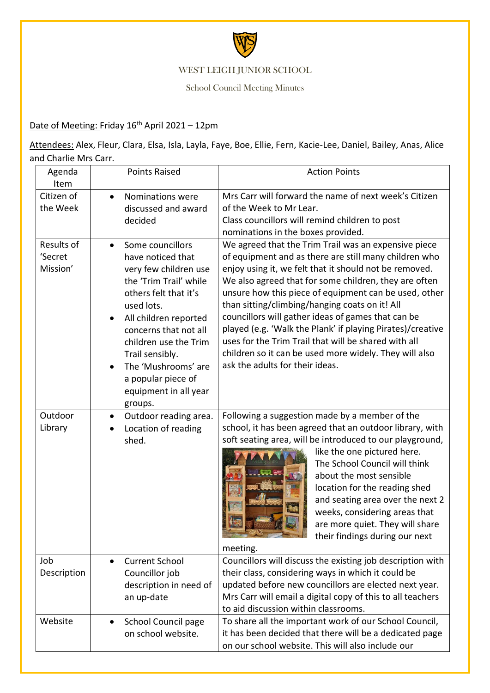

## WEST LEIGH JUNIOR SCHOOL

School Council Meeting Minutes

## Date of Meeting: Friday 16<sup>th</sup> April 2021 - 12pm

Attendees: Alex, Fleur, Clara, Elsa, Isla, Layla, Faye, Boe, Ellie, Fern, Kacie-Lee, Daniel, Bailey, Anas, Alice and Charlie Mrs Carr.

| Agenda<br>Item                    | <b>Points Raised</b>                                                                                                                                                                                                                                                                                           | <b>Action Points</b>                                                                                                                                                                                                                                                                                                                                                                                                                                                                                                                                                                                                 |
|-----------------------------------|----------------------------------------------------------------------------------------------------------------------------------------------------------------------------------------------------------------------------------------------------------------------------------------------------------------|----------------------------------------------------------------------------------------------------------------------------------------------------------------------------------------------------------------------------------------------------------------------------------------------------------------------------------------------------------------------------------------------------------------------------------------------------------------------------------------------------------------------------------------------------------------------------------------------------------------------|
| Citizen of<br>the Week            | Nominations were<br>$\bullet$<br>discussed and award<br>decided                                                                                                                                                                                                                                                | Mrs Carr will forward the name of next week's Citizen<br>of the Week to Mr Lear.<br>Class councillors will remind children to post<br>nominations in the boxes provided.                                                                                                                                                                                                                                                                                                                                                                                                                                             |
| Results of<br>'Secret<br>Mission' | Some councillors<br>have noticed that<br>very few children use<br>the 'Trim Trail' while<br>others felt that it's<br>used lots.<br>All children reported<br>concerns that not all<br>children use the Trim<br>Trail sensibly.<br>The 'Mushrooms' are<br>a popular piece of<br>equipment in all year<br>groups. | We agreed that the Trim Trail was an expensive piece<br>of equipment and as there are still many children who<br>enjoy using it, we felt that it should not be removed.<br>We also agreed that for some children, they are often<br>unsure how this piece of equipment can be used, other<br>than sitting/climbing/hanging coats on it! All<br>councillors will gather ideas of games that can be<br>played (e.g. 'Walk the Plank' if playing Pirates)/creative<br>uses for the Trim Trail that will be shared with all<br>children so it can be used more widely. They will also<br>ask the adults for their ideas. |
| Outdoor<br>Library                | Outdoor reading area.<br>Location of reading<br>shed.                                                                                                                                                                                                                                                          | Following a suggestion made by a member of the<br>school, it has been agreed that an outdoor library, with<br>soft seating area, will be introduced to our playground,<br>like the one pictured here.<br>The School Council will think<br>about the most sensible<br>location for the reading shed<br>and seating area over the next 2<br>weeks, considering areas that<br>are more quiet. They will share<br>Barbara Barbara<br>their findings during our next<br>meeting.                                                                                                                                          |
| Job<br>Description                | <b>Current School</b><br>Councillor job<br>description in need of<br>an up-date                                                                                                                                                                                                                                | Councillors will discuss the existing job description with<br>their class, considering ways in which it could be<br>updated before new councillors are elected next year.<br>Mrs Carr will email a digital copy of this to all teachers<br>to aid discussion within classrooms.                                                                                                                                                                                                                                                                                                                                      |
| Website                           | School Council page<br>on school website.                                                                                                                                                                                                                                                                      | To share all the important work of our School Council,<br>it has been decided that there will be a dedicated page<br>on our school website. This will also include our                                                                                                                                                                                                                                                                                                                                                                                                                                               |